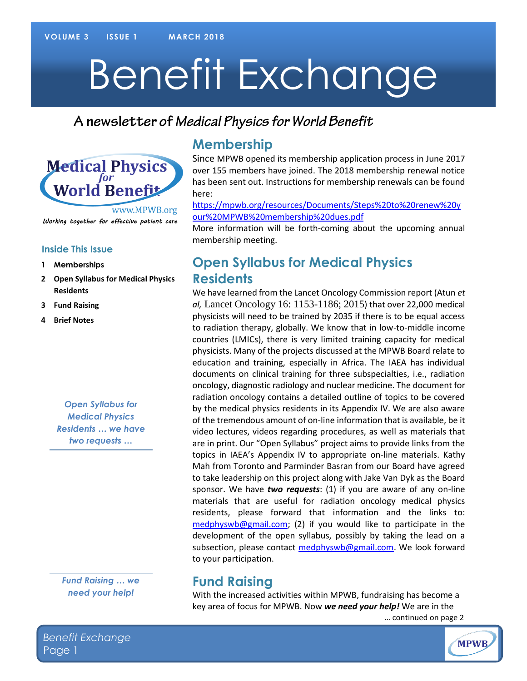# Benefit Exchange

## A newsletter of Medical Physics for World Benefit



#### **Inside This Issue**

- **1 Memberships**
- **2 Open Syllabus for Medical Physics Residents**
- **3 Fund Raising**
- **4 Brief Notes**

*Open Syllabus for Medical Physics Residents … we have two requests …*

*Fund Raising … we need your help!*

#### **Membership**

Since MPWB opened its membership application process in June 2017 over 155 members have joined. The 2018 membership renewal notice has been sent out. Instructions for membership renewals can be found here:

[https://mpwb.org/resources/Documents/Steps%20to%20renew%20y](https://mpwb.org/resources/Documents/Steps%20to%20renew%20your%20MPWB%20membership%20dues.pdf) [our%20MPWB%20membership%20dues.pdf](https://mpwb.org/resources/Documents/Steps%20to%20renew%20your%20MPWB%20membership%20dues.pdf) 

More information will be forth-coming about the upcoming annual membership meeting.

### **Open Syllabus for Medical Physics Residents**

We have learned from the Lancet Oncology Commission report (Atun *et al,* Lancet Oncology 16: 1153-1186; 2015) that over 22,000 medical physicists will need to be trained by 2035 if there is to be equal access to radiation therapy, globally. We know that in low-to-middle income countries (LMICs), there is very limited training capacity for medical physicists. Many of the projects discussed at the MPWB Board relate to education and training, especially in Africa. The IAEA has individual documents on clinical training for three subspecialties, i.e., radiation oncology, diagnostic radiology and nuclear medicine. The document for radiation oncology contains a detailed outline of topics to be covered by the medical physics residents in its Appendix IV. We are also aware of the tremendous amount of on-line information that is available, be it video lectures, videos regarding procedures, as well as materials that are in print. Our "Open Syllabus" project aims to provide links from the topics in IAEA's Appendix IV to appropriate on-line materials. Kathy Mah from Toronto and Parminder Basran from our Board have agreed to take leadership on this project along with Jake Van Dyk as the Board sponsor. We have *two requests*: (1) if you are aware of any on-line materials that are useful for radiation oncology medical physics residents, please forward that information and the links to: [medphyswb@gmail.com;](mailto:medphyswb@gmail.com) (2) if you would like to participate in the development of the open syllabus, possibly by taking the lead on a subsection, please contact [medphyswb@gmail.com.](mailto:medphyswb@gmail.com) We look forward to your participation.

#### **Fund Raising**

With the increased activities within MPWB, fundraising has become a key area of focus for MPWB. Now *we need your help!* We are in the … continued on page 2